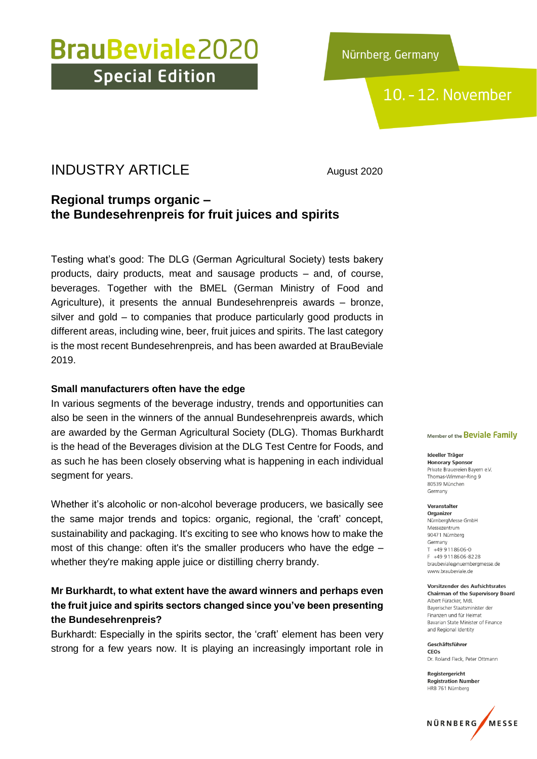Nürnberg, Germany

### 10. - 12. November

### INDUSTRY ARTICLE August 2020

### **Regional trumps organic – the Bundesehrenpreis for fruit juices and spirits**

Testing what's good: The DLG (German Agricultural Society) tests bakery products, dairy products, meat and sausage products – and, of course, beverages. Together with the BMEL (German Ministry of Food and Agriculture), it presents the annual Bundesehrenpreis awards – bronze, silver and gold – to companies that produce particularly good products in different areas, including wine, beer, fruit juices and spirits. The last category is the most recent Bundesehrenpreis, and has been awarded at BrauBeviale 2019.

#### **Small manufacturers often have the edge**

In various segments of the beverage industry, trends and opportunities can also be seen in the winners of the annual Bundesehrenpreis awards, which are awarded by the German Agricultural Society (DLG). Thomas Burkhardt is the head of the Beverages division at the DLG Test Centre for Foods, and as such he has been closely observing what is happening in each individual segment for years.

Whether it's alcoholic or non-alcohol beverage producers, we basically see the same major trends and topics: organic, regional, the 'craft' concept, sustainability and packaging. It's exciting to see who knows how to make the most of this change: often it's the smaller producers who have the edge – whether they're making apple juice or distilling cherry brandy.

#### **Mr Burkhardt, to what extent have the award winners and perhaps even the fruit juice and spirits sectors changed since you've been presenting the Bundesehrenpreis?**

Burkhardt: Especially in the spirits sector, the 'craft' element has been very strong for a few years now. It is playing an increasingly important role in

#### Member of the Beviale Family

Ideeller Träger **Honorary Sponsor** Private Brauereien Bayern e.V. Thomas-Wimmer-Ring 9 80539 München Germany

Veranstalter Organizer NürnbergMesse GmbH Messezentrum 90471 Nürnberg Germany  $T$  +49 9118606-0 F +49 9 11 8 6 0 6 - 8 2 2 8 braubeviale@nuernbergmesse.de www.braubeviale.de

Vorsitzender des Aufsichtsrates **Chairman of the Supervisory Board** Albert Füracker, MdL Bayerischer Staatsminister der Finanzen und für Heimat Bavarian State Minister of Finance and Regional Identity

Geschäftsführer CEOS Dr. Roland Eleck, Peter Ottmann

Registergericht **Registration Number** HRB 761 Nürnberg

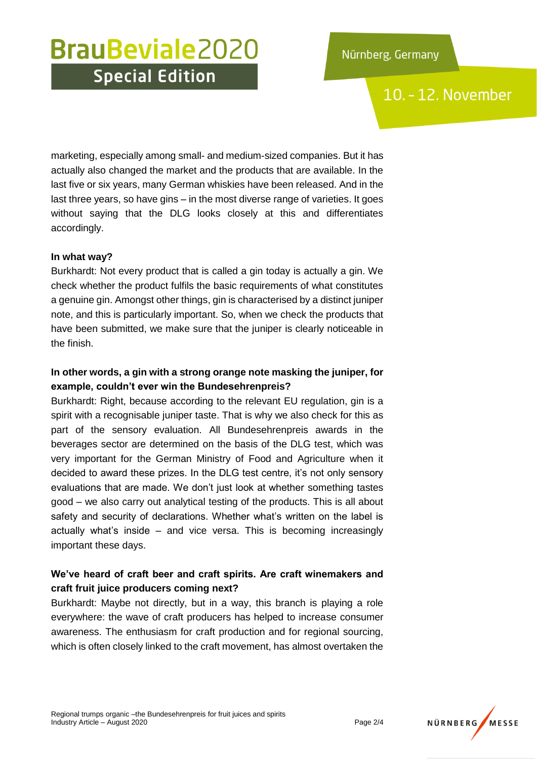10. - 12. November

marketing, especially among small- and medium-sized companies. But it has actually also changed the market and the products that are available. In the last five or six years, many German whiskies have been released. And in the last three years, so have gins – in the most diverse range of varieties. It goes without saying that the DLG looks closely at this and differentiates accordingly.

#### **In what way?**

Burkhardt: Not every product that is called a gin today is actually a gin. We check whether the product fulfils the basic requirements of what constitutes a genuine gin. Amongst other things, gin is characterised by a distinct juniper note, and this is particularly important. So, when we check the products that have been submitted, we make sure that the juniper is clearly noticeable in the finish.

#### **In other words, a gin with a strong orange note masking the juniper, for example, couldn't ever win the Bundesehrenpreis?**

Burkhardt: Right, because according to the relevant EU regulation, gin is a spirit with a recognisable juniper taste. That is why we also check for this as part of the sensory evaluation. All Bundesehrenpreis awards in the beverages sector are determined on the basis of the DLG test, which was very important for the German Ministry of Food and Agriculture when it decided to award these prizes. In the DLG test centre, it's not only sensory evaluations that are made. We don't just look at whether something tastes good – we also carry out analytical testing of the products. This is all about safety and security of declarations. Whether what's written on the label is actually what's inside – and vice versa. This is becoming increasingly important these days.

#### **We've heard of craft beer and craft spirits. Are craft winemakers and craft fruit juice producers coming next?**

Burkhardt: Maybe not directly, but in a way, this branch is playing a role everywhere: the wave of craft producers has helped to increase consumer awareness. The enthusiasm for craft production and for regional sourcing, which is often closely linked to the craft movement, has almost overtaken the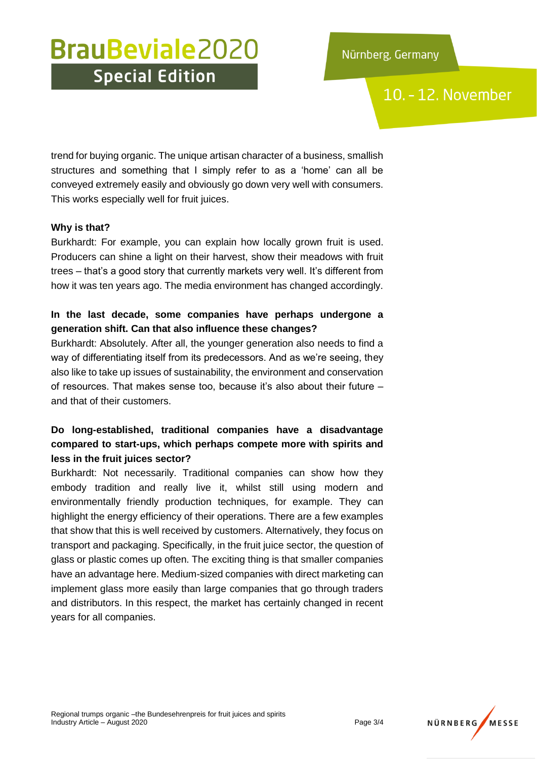10. - 12. November

trend for buying organic. The unique artisan character of a business, smallish structures and something that I simply refer to as a 'home' can all be conveyed extremely easily and obviously go down very well with consumers. This works especially well for fruit juices.

#### **Why is that?**

Burkhardt: For example, you can explain how locally grown fruit is used. Producers can shine a light on their harvest, show their meadows with fruit trees – that's a good story that currently markets very well. It's different from how it was ten years ago. The media environment has changed accordingly.

#### **In the last decade, some companies have perhaps undergone a generation shift. Can that also influence these changes?**

Burkhardt: Absolutely. After all, the younger generation also needs to find a way of differentiating itself from its predecessors. And as we're seeing, they also like to take up issues of sustainability, the environment and conservation of resources. That makes sense too, because it's also about their future – and that of their customers.

#### **Do long-established, traditional companies have a disadvantage compared to start-ups, which perhaps compete more with spirits and less in the fruit juices sector?**

Burkhardt: Not necessarily. Traditional companies can show how they embody tradition and really live it, whilst still using modern and environmentally friendly production techniques, for example. They can highlight the energy efficiency of their operations. There are a few examples that show that this is well received by customers. Alternatively, they focus on transport and packaging. Specifically, in the fruit juice sector, the question of glass or plastic comes up often. The exciting thing is that smaller companies have an advantage here. Medium-sized companies with direct marketing can implement glass more easily than large companies that go through traders and distributors. In this respect, the market has certainly changed in recent years for all companies.